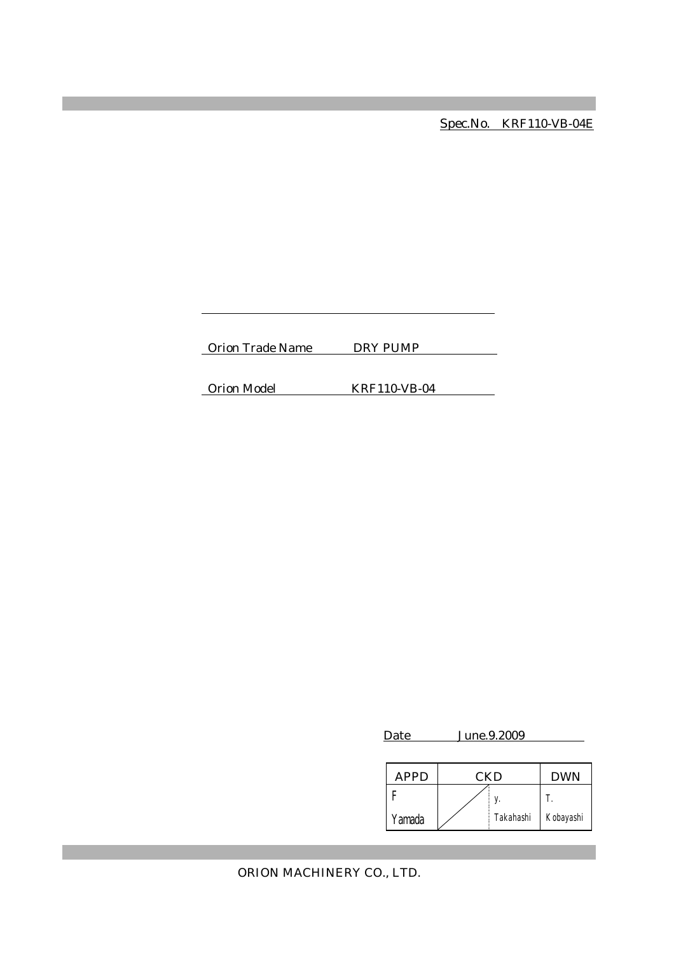Spec.No. KRF110-VB-04E

Orion Trade Name DRY PUMP

Orion Model KRF110-VB-04

Date June.9.2009

| APPD   | CKD |           | <b>DWN</b> |
|--------|-----|-----------|------------|
|        |     |           |            |
| Yamada |     | Takahashi | Kobayashi  |

ORION MACHINERY CO., LTD.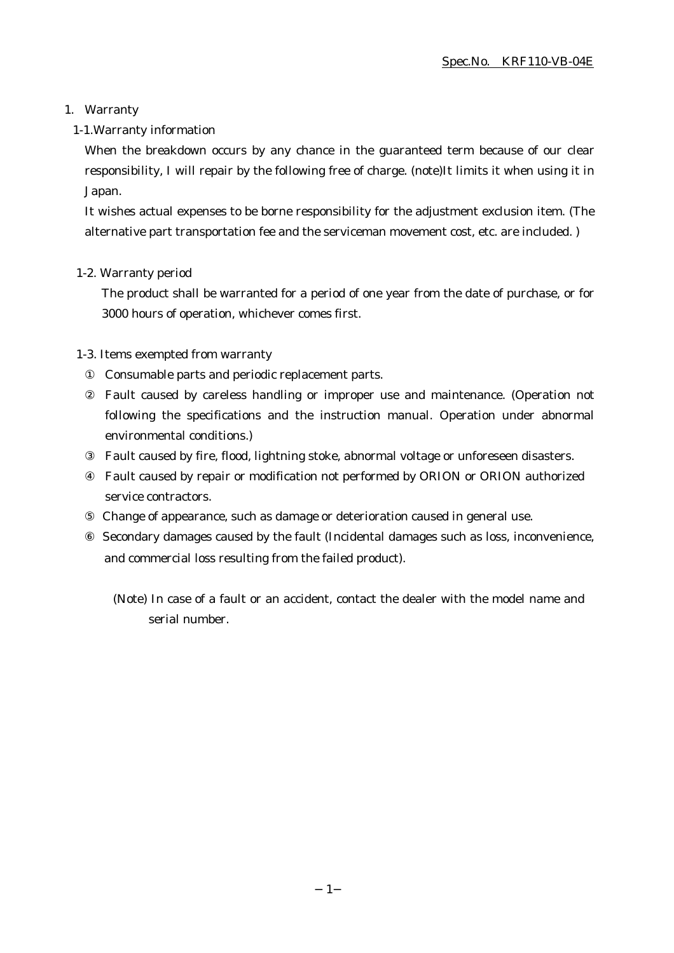# 1. Warranty

1-1.Warranty information

When the breakdown occurs by any chance in the guaranteed term because of our clear responsibility, I will repair by the following free of charge. (note)It limits it when using it in Japan.

It wishes actual expenses to be borne responsibility for the adjustment exclusion item. (The alternative part transportation fee and the serviceman movement cost, etc. are included. )

# 1-2. Warranty period

The product shall be warranted for a period of one year from the date of purchase, or for 3000 hours of operation, whichever comes first.

# 1-3. Items exempted from warranty

Consumable parts and periodic replacement parts.

Fault caused by careless handling or improper use and maintenance. (Operation not following the specifications and the instruction manual. Operation under abnormal environmental conditions.)

Fault caused by fire, flood, lightning stoke, abnormal voltage or unforeseen disasters.

Fault caused by repair or modification not performed by ORION or ORION authorized service contractors.

 Change of appearance, such as damage or deterioration caused in general use. Secondary damages caused by the fault (Incidental damages such as loss, inconvenience, and commercial loss resulting from the failed product).

(Note) In case of a fault or an accident, contact the dealer with the model name and serial number.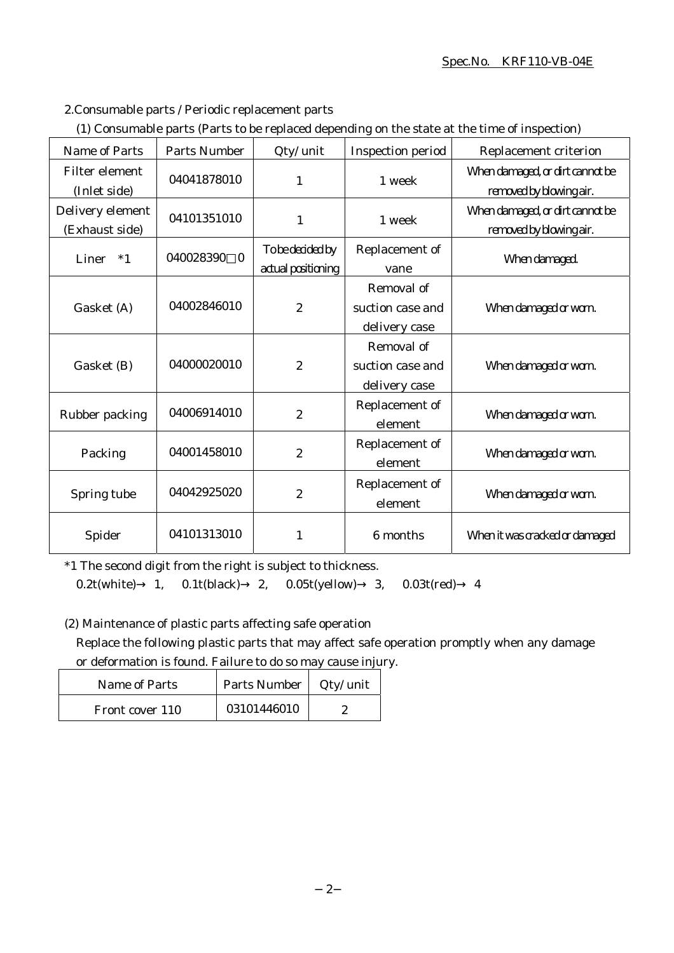#### Spec.No. KRF110-VB-04E

2.Consumable parts / Periodic replacement parts

|  | (1) Consumable parts (Parts to be replaced depending on the state at the time of inspection) |  |
|--|----------------------------------------------------------------------------------------------|--|
|  |                                                                                              |  |

| <b>Name of Parts</b>                  | <b>Parts Number</b>   | Qty/ unit                              | <b>Inspection period</b>                        | Replacement criterion                                      |
|---------------------------------------|-----------------------|----------------------------------------|-------------------------------------------------|------------------------------------------------------------|
| <b>Filter element</b><br>(Inlet side) | 04041878010           | 1                                      | 1 week                                          | When damaged, or dirt cannot be<br>removed by blowing air. |
| Delivery element<br>(Exhaust side)    | 04101351010           | $\mathbf{1}$                           | 1 week                                          | When damaged, or dirt cannot be<br>removed by blowing air. |
| Liner<br>$*1$                         | 040028390<br>$\bf{0}$ | To be decided by<br>actual positioning | Replacement of<br>vane                          | When damaged.                                              |
| Gasket (A)                            | 04002846010           | $\boldsymbol{2}$                       | Removal of<br>suction case and<br>delivery case | When damaged or worn.                                      |
| Gasket (B)                            | 04000020010           | $\boldsymbol{2}$                       | Removal of<br>suction case and<br>delivery case | When damaged or worn.                                      |
| Rubber packing                        | 04006914010           | $\overline{2}$                         | Replacement of<br>element                       | When damaged or worn.                                      |
| Packing                               | 04001458010           | $\overline{2}$                         | Replacement of<br>element                       | When damaged or worn.                                      |
| Spring tube                           | 04042925020           | $\boldsymbol{2}$                       | Replacement of<br>element                       | When damaged or worn.                                      |
| Spider                                | 04101313010           | 1                                      | 6 months                                        | When it was cracked or damaged                             |

\*1 The second digit from the right is subject to thickness.

0.2t(white) 1, 0.1t(black) 2, 0.05t(yellow) 3, 0.03t(red) 4

(2) Maintenance of plastic parts affecting safe operation

Replace the following plastic parts that may affect safe operation promptly when any damage or deformation is found. Failure to do so may cause injury.

| Name of Parts   | Parts Number | $Qty/$ unit |
|-----------------|--------------|-------------|
| Front cover 110 | 03101446010  |             |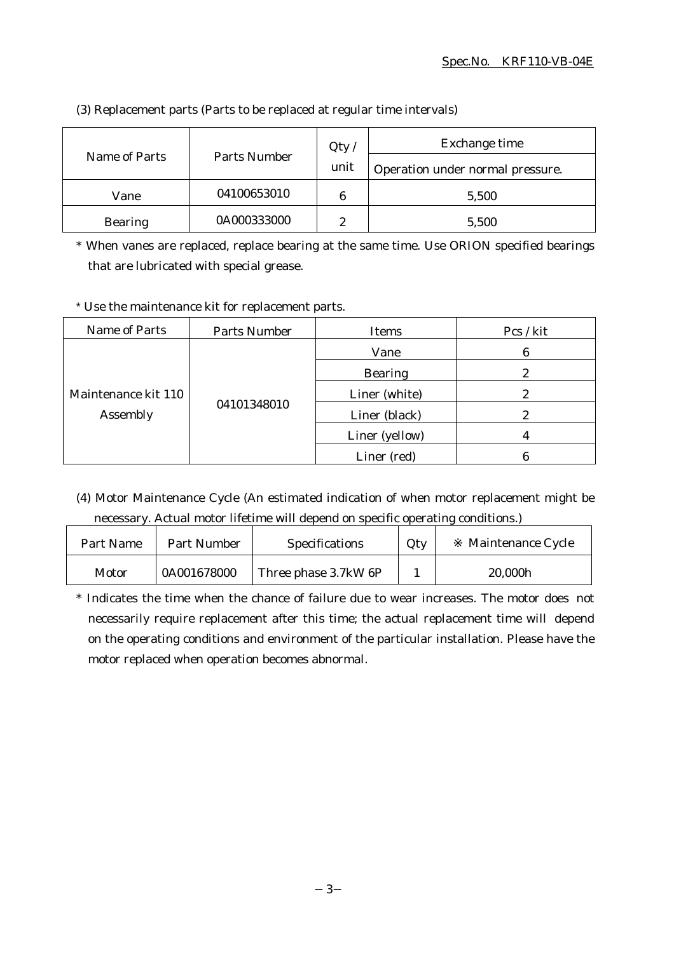| Name of Parts  | Parts Number | Qty/   | Exchange time                    |  |
|----------------|--------------|--------|----------------------------------|--|
|                |              | unit   | Operation under normal pressure. |  |
| Vane           | 04100653010  | 6      | 5,500                            |  |
| <b>Bearing</b> | 0A000333000  | റ<br>∼ | 5,500                            |  |

(3) Replacement parts (Parts to be replaced at regular time intervals)

\* When vanes are replaced, replace bearing at the same time. Use ORION specified bearings that are lubricated with special grease.

\* Use the maintenance kit for replacement parts.

| Name of Parts                   | Parts Number | Items          | Pcs / kit |
|---------------------------------|--------------|----------------|-----------|
| Maintenance kit 110<br>Assembly | 04101348010  | Vane           | 6         |
|                                 |              | <b>Bearing</b> | 2         |
|                                 |              | Liner (white)  | 2         |
|                                 |              | Liner (black)  |           |
|                                 |              | Liner (yellow) |           |
|                                 |              | Liner (red)    |           |

(4) Motor Maintenance Cycle (An estimated indication of when motor replacement might be necessary. Actual motor lifetime will depend on specific operating conditions.)

| Part Name | Part Number | <b>Specifications</b> | Qty | Maintenance Cycle |
|-----------|-------------|-----------------------|-----|-------------------|
| Motor     | 0A001678000 | Three phase 3.7kW 6P  |     | 20,000h           |

\* Indicates the time when the chance of failure due to wear increases. The motor does not necessarily require replacement after this time; the actual replacement time will depend on the operating conditions and environment of the particular installation. Please have the motor replaced when operation becomes abnormal.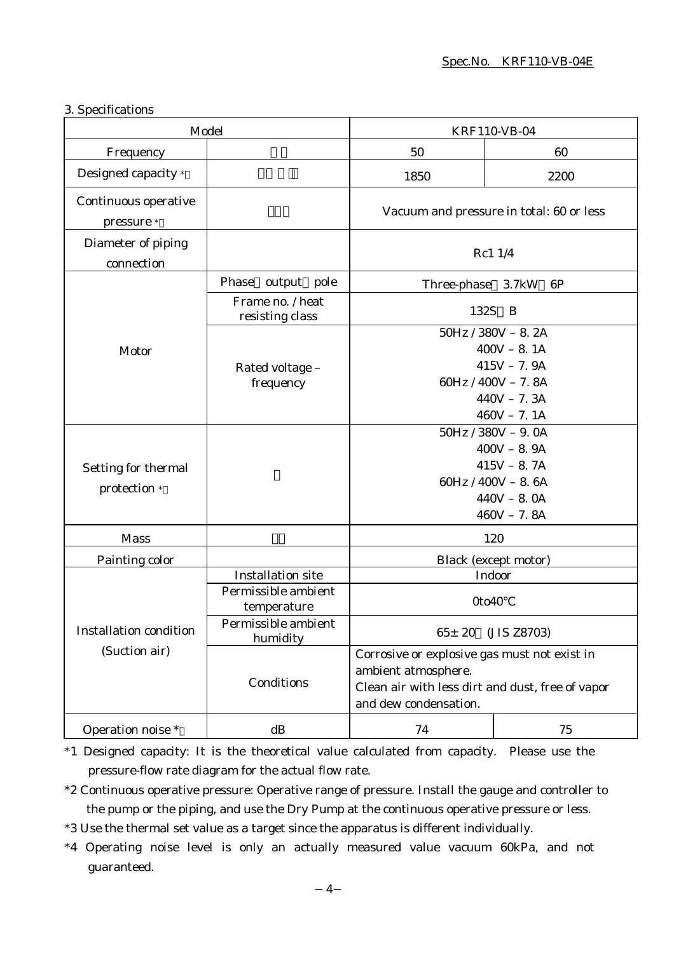### 3. Specifications

| Model                                          |                                                                | <b>KRF110-VB-04</b>                                                                                                                              |                                                                                                                  |
|------------------------------------------------|----------------------------------------------------------------|--------------------------------------------------------------------------------------------------------------------------------------------------|------------------------------------------------------------------------------------------------------------------|
| Frequency                                      |                                                                | 50                                                                                                                                               | 60                                                                                                               |
| Designed capacity *                            |                                                                | 1850                                                                                                                                             | 2200                                                                                                             |
| Continuous operative<br>pressure *             |                                                                | Vacuum and pressure in total: 60 or less                                                                                                         |                                                                                                                  |
| Diameter of piping<br>connection               |                                                                | Rc1 1/4                                                                                                                                          |                                                                                                                  |
|                                                | Phase output pole                                              | Three-phase 3.7kW                                                                                                                                | 6P                                                                                                               |
|                                                | Frame no. / heat<br>resisting class                            | 132S B                                                                                                                                           |                                                                                                                  |
| Motor                                          | Rated voltage -                                                | $50Hz / 380V - 8.2A$<br>$400V - 8.1A$<br>$415V - 7.9A$                                                                                           |                                                                                                                  |
|                                                | frequency                                                      | $60Hz / 400V - 7.8A$<br>$440V - 7.3A$<br>$460V - 7.1A$                                                                                           |                                                                                                                  |
| Setting for thermal<br>protection *            |                                                                |                                                                                                                                                  | $50Hz / 380V - 9.0A$<br>$400V - 8.9A$<br>$415V - 8.7A$<br>$60Hz / 400V - 8.6A$<br>$440V - 8.0A$<br>$460V - 7.8A$ |
| <b>Mass</b>                                    |                                                                | 120                                                                                                                                              |                                                                                                                  |
| Painting color                                 |                                                                |                                                                                                                                                  | <b>Black</b> (except motor)                                                                                      |
| <b>Installation condition</b><br>(Suction air) | <b>Installation site</b><br>Permissible ambient<br>temperature | Indoor<br>0to40                                                                                                                                  |                                                                                                                  |
|                                                | Permissible ambient<br>humidity                                | $65 \pm 20$<br>(JIS Z8703)                                                                                                                       |                                                                                                                  |
|                                                | Conditions                                                     | Corrosive or explosive gas must not exist in<br>ambient atmosphere.<br>Clean air with less dirt and dust, free of vapor<br>and dew condensation. |                                                                                                                  |
| Operation noise *                              | dB                                                             | 74                                                                                                                                               | 75                                                                                                               |

\*1 Designed capacity: It is the theoretical value calculated from capacity. Please use the pressure-flow rate diagram for the actual flow rate.

\*2 Continuous operative pressure: Operative range of pressure. Install the gauge and controller to the pump or the piping, and use the Dry Pump at the continuous operative pressure or less.

\*3 Use the thermal set value as a target since the apparatus is different individually.

\*4 Operating noise level is only an actually measured value vacuum 60kPa, and not guaranteed.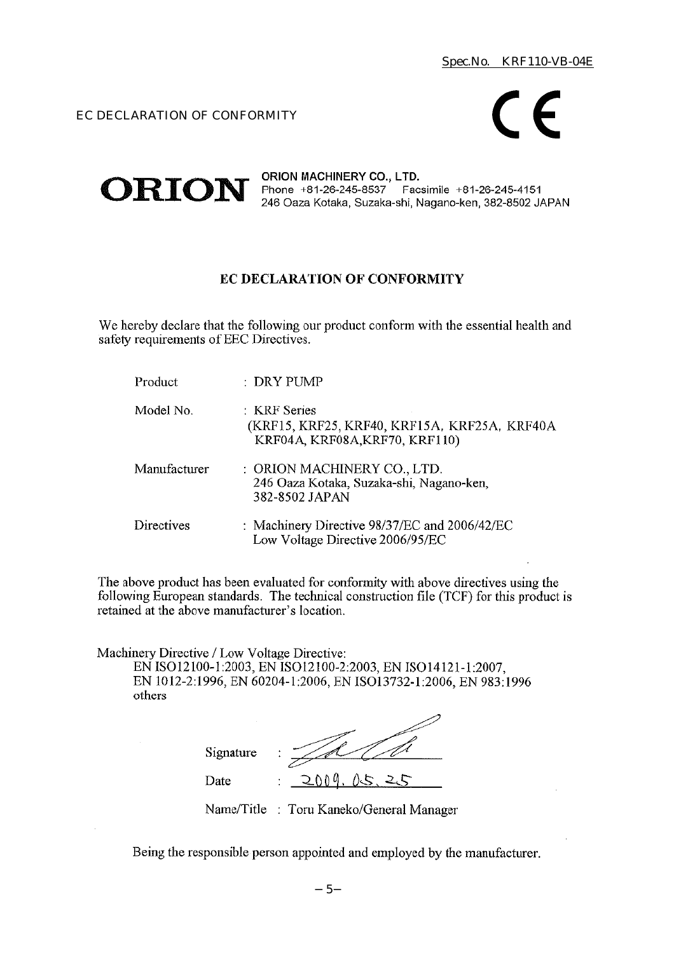EC DECLARATION OF CONFORMITY



#### ORION MACHINERY CO., LTD.  $ORION$  Phone +81-26-245-8537 Facsimile +81-26-245-4151 246 Oaza Kotaka, Suzaka-shi, Nagano-ken, 382-8502 JAPAN

# EC DECLARATION OF CONFORMITY

We hereby declare that the following our product conform with the essential health and safety requirements of EEC Directives.

| Product      | : DRY PUMP                                                                                     |
|--------------|------------------------------------------------------------------------------------------------|
| Model No.    | : KRF Series<br>(KRF15, KRF25, KRF40, KRF15A, KRF25A, KRF40A<br>KRF04A, KRF08A, KRF70, KRF110) |
| Manufacturer | : ORION MACHINERY CO., LTD.<br>246 Oaza Kotaka, Suzaka-shi, Nagano-ken,<br>382-8502 JAPAN      |
| Directives   | : Machinery Directive 98/37/EC and 2006/42/EC<br>Low Voltage Directive 2006/95/EC              |

The above product has been evaluated for conformity with above directives using the following European standards. The technical construction file (TCF) for this product is retained at the above manufacturer's location.

Machinery Directive / Low Voltage Directive:

EN ISO12100-1:2003, EN ISO12100-2:2003, EN ISO14121-1:2007, EN 1012-2:1996, EN 60204-1:2006, EN ISO13732-1:2006, EN 983:1996 others

| Signature | ٠<br>٠                                   |
|-----------|------------------------------------------|
| Date      | ስ ስ $\theta$<br>$\overline{a}$<br>٠<br>٠ |

Name/Title : Toru Kaneko/General Manager

Being the responsible person appointed and employed by the manufacturer.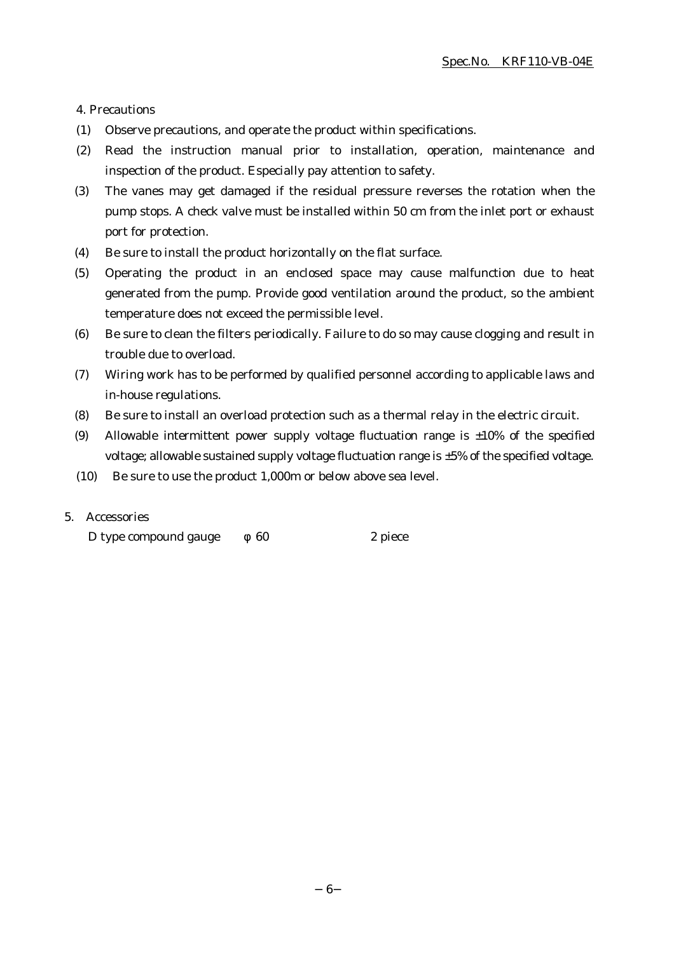4. Precautions

- (1) Observe precautions, and operate the product within specifications.
- (2) Read the instruction manual prior to installation, operation, maintenance and inspection of the product. Especially pay attention to safety.
- (3) The vanes may get damaged if the residual pressure reverses the rotation when the pump stops. A check valve must be installed within 50 cm from the inlet port or exhaust port for protection.
- (4) Be sure to install the product horizontally on the flat surface.
- (5) Operating the product in an enclosed space may cause malfunction due to heat generated from the pump. Provide good ventilation around the product, so the ambient temperature does not exceed the permissible level.
- (6) Be sure to clean the filters periodically. Failure to do so may cause clogging and result in trouble due to overload.
- (7) Wiring work has to be performed by qualified personnel according to applicable laws and in-house regulations.
- (8) Be sure to install an overload protection such as a thermal relay in the electric circuit.
- (9) Allowable intermittent power supply voltage fluctuation range is  $\pm 10\%$  of the specified voltage; allowable sustained supply voltage fluctuation range is ±5% of the specified voltage.
- (10) Be sure to use the product 1,000m or below above sea level.

# 5. Accessories

D type compound gauge 60 2 piece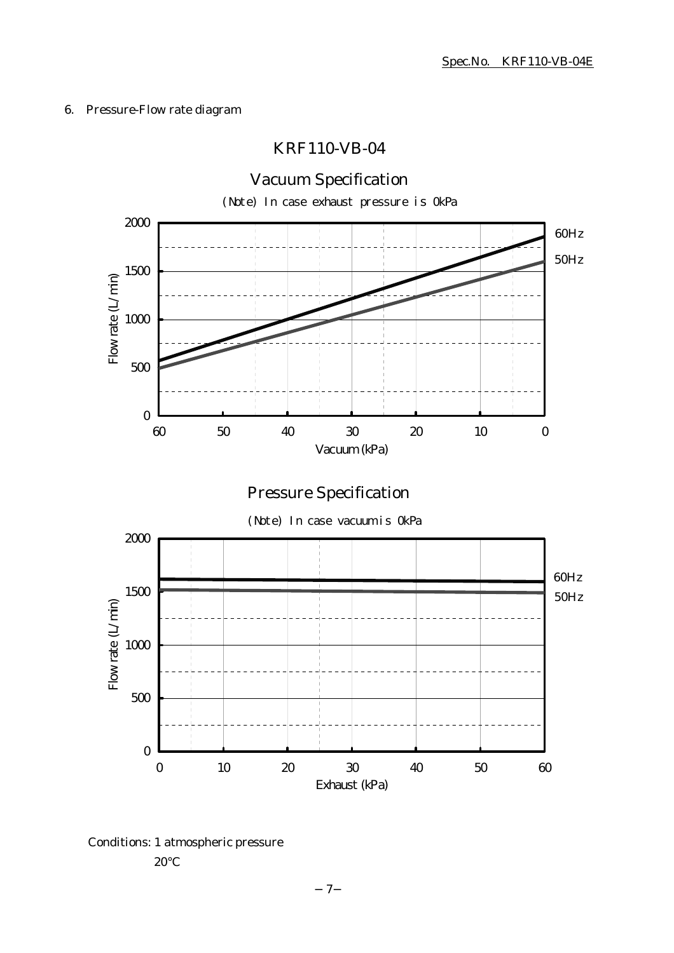# 6. Pressure-Flow rate diagram

# KRF110-VB-04



Conditions: 1 atmospheric pressure